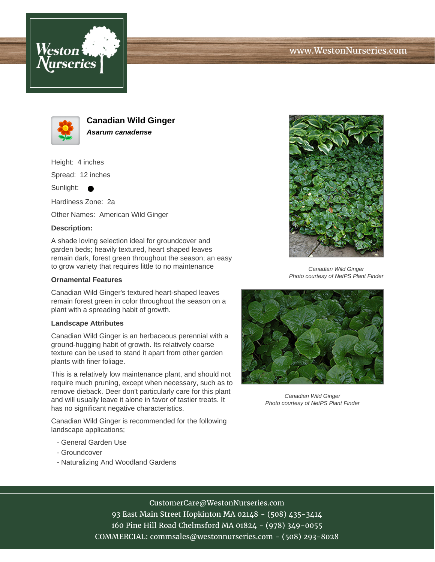





**Canadian Wild Ginger Asarum canadense**

Height: 4 inches

Spread: 12 inches

Sunlight:

Hardiness Zone: 2a

Other Names: American Wild Ginger

### **Description:**

A shade loving selection ideal for groundcover and garden beds; heavily textured, heart shaped leaves remain dark, forest green throughout the season; an easy to grow variety that requires little to no maintenance

#### **Ornamental Features**

Canadian Wild Ginger's textured heart-shaped leaves remain forest green in color throughout the season on a plant with a spreading habit of growth.

#### **Landscape Attributes**

Canadian Wild Ginger is an herbaceous perennial with a ground-hugging habit of growth. Its relatively coarse texture can be used to stand it apart from other garden plants with finer foliage.

This is a relatively low maintenance plant, and should not require much pruning, except when necessary, such as to remove dieback. Deer don't particularly care for this plant and will usually leave it alone in favor of tastier treats. It has no significant negative characteristics.

Canadian Wild Ginger is recommended for the following landscape applications;

- General Garden Use
- Groundcover
- Naturalizing And Woodland Gardens



Canadian Wild Ginger Photo courtesy of NetPS Plant Finder



Canadian Wild Ginger Photo courtesy of NetPS Plant Finder

# CustomerCare@WestonNurseries.com

93 East Main Street Hopkinton MA 02148 - (508) 435-3414 160 Pine Hill Road Chelmsford MA 01824 - (978) 349-0055 COMMERCIAL: commsales@westonnurseries.com - (508) 293-8028